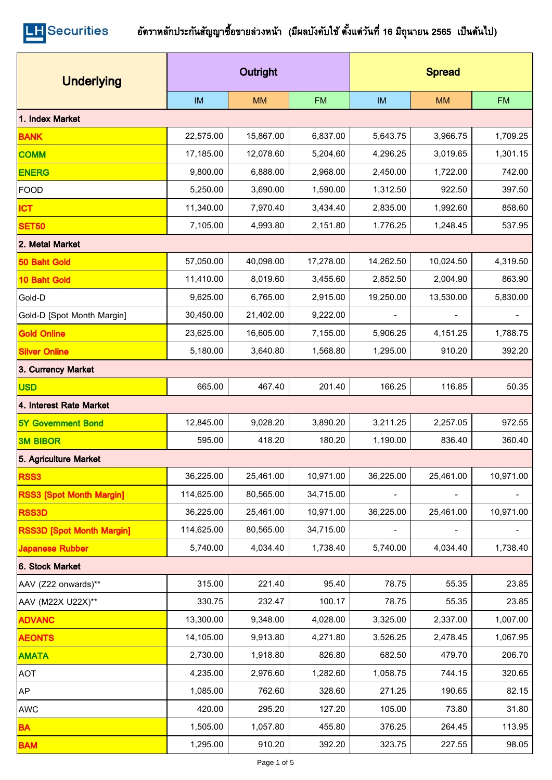| <b>Underlying</b>                | Outright   |           |           | <b>Spread</b> |           |           |  |  |
|----------------------------------|------------|-----------|-----------|---------------|-----------|-----------|--|--|
|                                  | <b>IM</b>  | <b>MM</b> | <b>FM</b> | <b>IM</b>     | <b>MM</b> | <b>FM</b> |  |  |
| 1. Index Market                  |            |           |           |               |           |           |  |  |
| <b>BANK</b>                      | 22,575.00  | 15,867.00 | 6,837.00  | 5,643.75      | 3,966.75  | 1,709.25  |  |  |
| <b>COMM</b>                      | 17,185.00  | 12,078.60 | 5,204.60  | 4,296.25      | 3,019.65  | 1,301.15  |  |  |
| <b>ENERG</b>                     | 9,800.00   | 6,888.00  | 2,968.00  | 2,450.00      | 1,722.00  | 742.00    |  |  |
| <b>FOOD</b>                      | 5,250.00   | 3,690.00  | 1,590.00  | 1,312.50      | 922.50    | 397.50    |  |  |
| <b>ICT</b>                       | 11,340.00  | 7,970.40  | 3,434.40  | 2,835.00      | 1,992.60  | 858.60    |  |  |
| <b>SET50</b>                     | 7,105.00   | 4,993.80  | 2,151.80  | 1,776.25      | 1,248.45  | 537.95    |  |  |
| 2. Metal Market                  |            |           |           |               |           |           |  |  |
| 50 Baht Gold                     | 57,050.00  | 40,098.00 | 17,278.00 | 14,262.50     | 10,024.50 | 4,319.50  |  |  |
| 10 Baht Gold                     | 11,410.00  | 8,019.60  | 3,455.60  | 2,852.50      | 2,004.90  | 863.90    |  |  |
| Gold-D                           | 9,625.00   | 6,765.00  | 2,915.00  | 19,250.00     | 13,530.00 | 5,830.00  |  |  |
| Gold-D [Spot Month Margin]       | 30,450.00  | 21,402.00 | 9,222.00  |               |           |           |  |  |
| <b>Gold Online</b>               | 23,625.00  | 16,605.00 | 7,155.00  | 5,906.25      | 4,151.25  | 1,788.75  |  |  |
| <b>Silver Online</b>             | 5,180.00   | 3,640.80  | 1,568.80  | 1,295.00      | 910.20    | 392.20    |  |  |
| 3. Currency Market               |            |           |           |               |           |           |  |  |
| <b>USD</b>                       | 665.00     | 467.40    | 201.40    | 166.25        | 116.85    | 50.35     |  |  |
| 4. Interest Rate Market          |            |           |           |               |           |           |  |  |
| <b>5Y Government Bond</b>        | 12,845.00  | 9,028.20  | 3,890.20  | 3,211.25      | 2,257.05  | 972.55    |  |  |
| <b>3M BIBOR</b>                  | 595.00     | 418.20    | 180.20    | 1,190.00      | 836.40    | 360.40    |  |  |
| 5. Agriculture Market            |            |           |           |               |           |           |  |  |
| RSS3                             | 36,225.00  | 25,461.00 | 10,971.00 | 36,225.00     | 25,461.00 | 10,971.00 |  |  |
| <b>RSS3 [Spot Month Margin]</b>  | 114,625.00 | 80,565.00 | 34,715.00 |               |           |           |  |  |
| <b>RSS3D</b>                     | 36,225.00  | 25,461.00 | 10,971.00 | 36,225.00     | 25,461.00 | 10,971.00 |  |  |
| <b>RSS3D [Spot Month Margin]</b> | 114,625.00 | 80,565.00 | 34,715.00 |               |           |           |  |  |
| <b>Japanese Rubber</b>           | 5,740.00   | 4,034.40  | 1,738.40  | 5,740.00      | 4,034.40  | 1,738.40  |  |  |
| 6. Stock Market                  |            |           |           |               |           |           |  |  |
| AAV (Z22 onwards)**              | 315.00     | 221.40    | 95.40     | 78.75         | 55.35     | 23.85     |  |  |
| AAV (M22X U22X)**                | 330.75     | 232.47    | 100.17    | 78.75         | 55.35     | 23.85     |  |  |
| <b>ADVANC</b>                    | 13,300.00  | 9,348.00  | 4,028.00  | 3,325.00      | 2,337.00  | 1,007.00  |  |  |
| <b>AEONTS</b>                    | 14,105.00  | 9,913.80  | 4,271.80  | 3,526.25      | 2,478.45  | 1,067.95  |  |  |
| <b>AMATA</b>                     | 2,730.00   | 1,918.80  | 826.80    | 682.50        | 479.70    | 206.70    |  |  |
| <b>AOT</b>                       | 4,235.00   | 2,976.60  | 1,282.60  | 1,058.75      | 744.15    | 320.65    |  |  |
| <b>AP</b>                        | 1,085.00   | 762.60    | 328.60    | 271.25        | 190.65    | 82.15     |  |  |
| <b>AWC</b>                       | 420.00     | 295.20    | 127.20    | 105.00        | 73.80     | 31.80     |  |  |
| <b>BA</b>                        | 1,505.00   | 1,057.80  | 455.80    | 376.25        | 264.45    | 113.95    |  |  |
| <b>BAM</b>                       | 1,295.00   | 910.20    | 392.20    | 323.75        | 227.55    | 98.05     |  |  |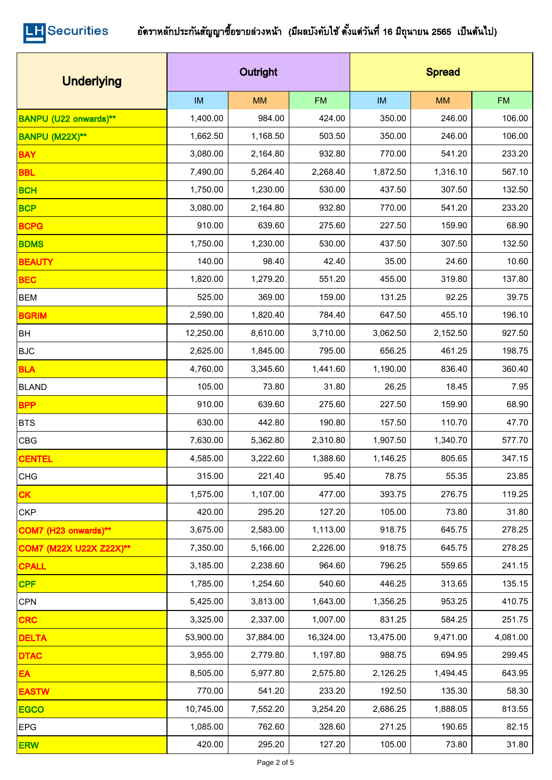| <b>Underlying</b>              |           | Outright  |           | <b>Spread</b> |           |           |  |
|--------------------------------|-----------|-----------|-----------|---------------|-----------|-----------|--|
|                                | IM        | <b>MM</b> | <b>FM</b> | IM            | <b>MM</b> | <b>FM</b> |  |
| <b>BANPU (U22 onwards)**</b>   | 1,400.00  | 984.00    | 424.00    | 350.00        | 246.00    | 106.00    |  |
| <b>BANPU (M22X)**</b>          | 1,662.50  | 1,168.50  | 503.50    | 350.00        | 246.00    | 106.00    |  |
| <b>BAY</b>                     | 3,080.00  | 2,164.80  | 932.80    | 770.00        | 541.20    | 233.20    |  |
| <b>BBL</b>                     | 7,490.00  | 5,264.40  | 2,268.40  | 1,872.50      | 1,316.10  | 567.10    |  |
| <b>BCH</b>                     | 1,750.00  | 1,230.00  | 530.00    | 437.50        | 307.50    | 132.50    |  |
| <b>BCP</b>                     | 3,080.00  | 2,164.80  | 932.80    | 770.00        | 541.20    | 233.20    |  |
| <b>BCPG</b>                    | 910.00    | 639.60    | 275.60    | 227.50        | 159.90    | 68.90     |  |
| <b>BDMS</b>                    | 1,750.00  | 1,230.00  | 530.00    | 437.50        | 307.50    | 132.50    |  |
| <b>BEAUTY</b>                  | 140.00    | 98.40     | 42.40     | 35.00         | 24.60     | 10.60     |  |
| <b>BEC</b>                     | 1,820.00  | 1,279.20  | 551.20    | 455.00        | 319.80    | 137.80    |  |
| <b>BEM</b>                     | 525.00    | 369.00    | 159.00    | 131.25        | 92.25     | 39.75     |  |
| <b>BGRIM</b>                   | 2,590.00  | 1,820.40  | 784.40    | 647.50        | 455.10    | 196.10    |  |
| <b>BH</b>                      | 12,250.00 | 8,610.00  | 3,710.00  | 3,062.50      | 2,152.50  | 927.50    |  |
| <b>BJC</b>                     | 2,625.00  | 1,845.00  | 795.00    | 656.25        | 461.25    | 198.75    |  |
| <b>BLA</b>                     | 4,760.00  | 3,345.60  | 1,441.60  | 1,190.00      | 836.40    | 360.40    |  |
| <b>BLAND</b>                   | 105.00    | 73.80     | 31.80     | 26.25         | 18.45     | 7.95      |  |
| <b>BPP</b>                     | 910.00    | 639.60    | 275.60    | 227.50        | 159.90    | 68.90     |  |
| <b>BTS</b>                     | 630.00    | 442.80    | 190.80    | 157.50        | 110.70    | 47.70     |  |
| CBG                            | 7,630.00  | 5,362.80  | 2,310.80  | 1,907.50      | 1,340.70  | 577.70    |  |
| <b>CENTEL</b>                  | 4,585.00  | 3,222.60  | 1,388.60  | 1,146.25      | 805.65    | 347.15    |  |
| <b>CHG</b>                     | 315.00    | 221.40    | 95.40     | 78.75         | 55.35     | 23.85     |  |
| <b>CK</b>                      | 1,575.00  | 1,107.00  | 477.00    | 393.75        | 276.75    | 119.25    |  |
| <b>CKP</b>                     | 420.00    | 295.20    | 127.20    | 105.00        | 73.80     | 31.80     |  |
| COM7 (H23 onwards)**           | 3,675.00  | 2,583.00  | 1,113.00  | 918.75        | 645.75    | 278.25    |  |
| <b>COM7 (M22X U22X Z22X)**</b> | 7,350.00  | 5,166.00  | 2,226.00  | 918.75        | 645.75    | 278.25    |  |
| <b>CPALL</b>                   | 3,185.00  | 2,238.60  | 964.60    | 796.25        | 559.65    | 241.15    |  |
| <b>CPF</b>                     | 1,785.00  | 1,254.60  | 540.60    | 446.25        | 313.65    | 135.15    |  |
| CPN                            | 5,425.00  | 3,813.00  | 1,643.00  | 1,356.25      | 953.25    | 410.75    |  |
| <b>CRC</b>                     | 3,325.00  | 2,337.00  | 1,007.00  | 831.25        | 584.25    | 251.75    |  |
| <b>DELTA</b>                   | 53,900.00 | 37,884.00 | 16,324.00 | 13,475.00     | 9,471.00  | 4,081.00  |  |
| <b>DTAC</b>                    | 3,955.00  | 2,779.80  | 1,197.80  | 988.75        | 694.95    | 299.45    |  |
| EA                             | 8,505.00  | 5,977.80  | 2,575.80  | 2,126.25      | 1,494.45  | 643.95    |  |
| <b>EASTW</b>                   | 770.00    | 541.20    | 233.20    | 192.50        | 135.30    | 58.30     |  |
| <b>EGCO</b>                    | 10,745.00 | 7,552.20  | 3,254.20  | 2,686.25      | 1,888.05  | 813.55    |  |
| <b>EPG</b>                     | 1,085.00  | 762.60    | 328.60    | 271.25        | 190.65    | 82.15     |  |
| <b>ERW</b>                     | 420.00    | 295.20    | 127.20    | 105.00        | 73.80     | 31.80     |  |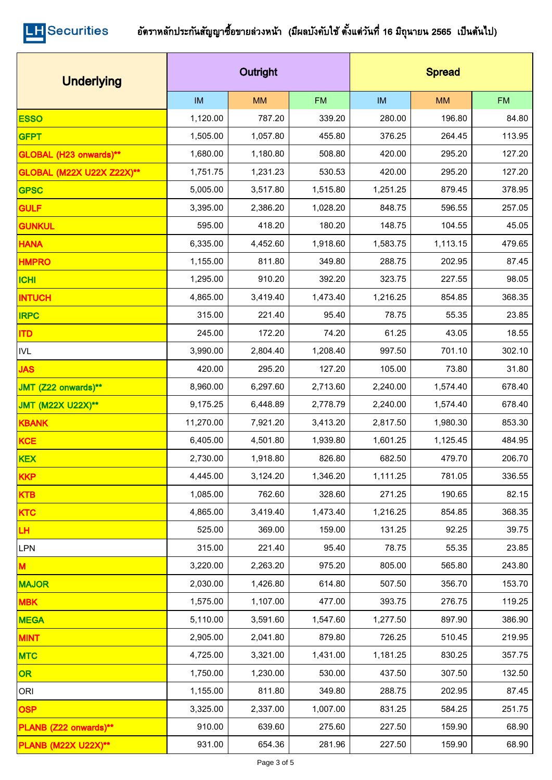| <b>Underlying</b>                |           | Outright  |           | <b>Spread</b> |           |           |  |
|----------------------------------|-----------|-----------|-----------|---------------|-----------|-----------|--|
|                                  | IM        | <b>MM</b> | <b>FM</b> | IM            | <b>MM</b> | <b>FM</b> |  |
| <b>ESSO</b>                      | 1,120.00  | 787.20    | 339.20    | 280.00        | 196.80    | 84.80     |  |
| <b>GFPT</b>                      | 1,505.00  | 1,057.80  | 455.80    | 376.25        | 264.45    | 113.95    |  |
| GLOBAL (H23 onwards)**           | 1,680.00  | 1,180.80  | 508.80    | 420.00        | 295.20    | 127.20    |  |
| <b>GLOBAL (M22X U22X Z22X)**</b> | 1,751.75  | 1,231.23  | 530.53    | 420.00        | 295.20    | 127.20    |  |
| <b>GPSC</b>                      | 5,005.00  | 3,517.80  | 1,515.80  | 1,251.25      | 879.45    | 378.95    |  |
| <b>GULF</b>                      | 3,395.00  | 2,386.20  | 1,028.20  | 848.75        | 596.55    | 257.05    |  |
| <b>GUNKUL</b>                    | 595.00    | 418.20    | 180.20    | 148.75        | 104.55    | 45.05     |  |
| <b>HANA</b>                      | 6,335.00  | 4,452.60  | 1,918.60  | 1,583.75      | 1,113.15  | 479.65    |  |
| <b>HMPRO</b>                     | 1,155.00  | 811.80    | 349.80    | 288.75        | 202.95    | 87.45     |  |
| <b>ICHI</b>                      | 1,295.00  | 910.20    | 392.20    | 323.75        | 227.55    | 98.05     |  |
| <b>INTUCH</b>                    | 4,865.00  | 3,419.40  | 1,473.40  | 1,216.25      | 854.85    | 368.35    |  |
| <b>IRPC</b>                      | 315.00    | 221.40    | 95.40     | 78.75         | 55.35     | 23.85     |  |
| <b>ITD</b>                       | 245.00    | 172.20    | 74.20     | 61.25         | 43.05     | 18.55     |  |
| <b>IVL</b>                       | 3,990.00  | 2,804.40  | 1,208.40  | 997.50        | 701.10    | 302.10    |  |
| <b>JAS</b>                       | 420.00    | 295.20    | 127.20    | 105.00        | 73.80     | 31.80     |  |
| JMT (Z22 onwards)**              | 8,960.00  | 6,297.60  | 2,713.60  | 2,240.00      | 1,574.40  | 678.40    |  |
| <b>JMT (M22X U22X)**</b>         | 9,175.25  | 6,448.89  | 2,778.79  | 2,240.00      | 1,574.40  | 678.40    |  |
| <b>KBANK</b>                     | 11,270.00 | 7,921.20  | 3,413.20  | 2,817.50      | 1,980.30  | 853.30    |  |
| <b>KCE</b>                       | 6,405.00  | 4,501.80  | 1,939.80  | 1,601.25      | 1,125.45  | 484.95    |  |
| <b>KEX</b>                       | 2,730.00  | 1,918.80  | 826.80    | 682.50        | 479.70    | 206.70    |  |
| <b>KKP</b>                       | 4,445.00  | 3,124.20  | 1,346.20  | 1,111.25      | 781.05    | 336.55    |  |
| <b>KTB</b>                       | 1,085.00  | 762.60    | 328.60    | 271.25        | 190.65    | 82.15     |  |
| <b>KTC</b>                       | 4,865.00  | 3,419.40  | 1,473.40  | 1,216.25      | 854.85    | 368.35    |  |
| LH.                              | 525.00    | 369.00    | 159.00    | 131.25        | 92.25     | 39.75     |  |
| LPN                              | 315.00    | 221.40    | 95.40     | 78.75         | 55.35     | 23.85     |  |
| M                                | 3,220.00  | 2,263.20  | 975.20    | 805.00        | 565.80    | 243.80    |  |
| <b>MAJOR</b>                     | 2,030.00  | 1,426.80  | 614.80    | 507.50        | 356.70    | 153.70    |  |
| <b>MBK</b>                       | 1,575.00  | 1,107.00  | 477.00    | 393.75        | 276.75    | 119.25    |  |
| <b>MEGA</b>                      | 5,110.00  | 3,591.60  | 1,547.60  | 1,277.50      | 897.90    | 386.90    |  |
| <b>MINT</b>                      | 2,905.00  | 2,041.80  | 879.80    | 726.25        | 510.45    | 219.95    |  |
| <b>MTC</b>                       | 4,725.00  | 3,321.00  | 1,431.00  | 1,181.25      | 830.25    | 357.75    |  |
| OR                               | 1,750.00  | 1,230.00  | 530.00    | 437.50        | 307.50    | 132.50    |  |
| ORI                              | 1,155.00  | 811.80    | 349.80    | 288.75        | 202.95    | 87.45     |  |
| <b>OSP</b>                       | 3,325.00  | 2,337.00  | 1,007.00  | 831.25        | 584.25    | 251.75    |  |
| PLANB (Z22 onwards)**            | 910.00    | 639.60    | 275.60    | 227.50        | 159.90    | 68.90     |  |
| <b>PLANB (M22X U22X)**</b>       | 931.00    | 654.36    | 281.96    | 227.50        | 159.90    | 68.90     |  |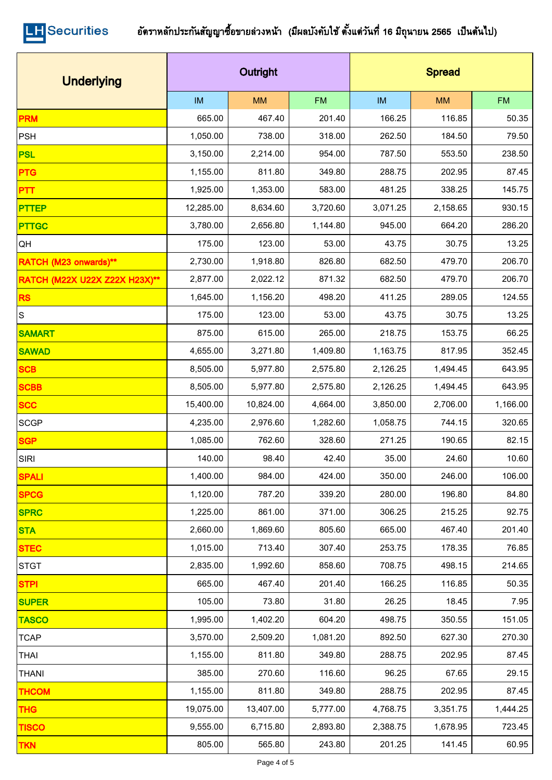| <b>Underlying</b>             |           | Outright  |           | <b>Spread</b> |           |           |  |
|-------------------------------|-----------|-----------|-----------|---------------|-----------|-----------|--|
|                               | IM        | <b>MM</b> | <b>FM</b> | <b>IM</b>     | <b>MM</b> | <b>FM</b> |  |
| <b>PRM</b>                    | 665.00    | 467.40    | 201.40    | 166.25        | 116.85    | 50.35     |  |
| PSH                           | 1,050.00  | 738.00    | 318.00    | 262.50        | 184.50    | 79.50     |  |
| <b>PSL</b>                    | 3,150.00  | 2,214.00  | 954.00    | 787.50        | 553.50    | 238.50    |  |
| <b>PTG</b>                    | 1,155.00  | 811.80    | 349.80    | 288.75        | 202.95    | 87.45     |  |
| <b>PTT</b>                    | 1,925.00  | 1,353.00  | 583.00    | 481.25        | 338.25    | 145.75    |  |
| <b>PTTEP</b>                  | 12,285.00 | 8,634.60  | 3,720.60  | 3,071.25      | 2,158.65  | 930.15    |  |
| <b>PTTGC</b>                  | 3,780.00  | 2,656.80  | 1,144.80  | 945.00        | 664.20    | 286.20    |  |
| QH                            | 175.00    | 123.00    | 53.00     | 43.75         | 30.75     | 13.25     |  |
| RATCH (M23 onwards)**         | 2,730.00  | 1,918.80  | 826.80    | 682.50        | 479.70    | 206.70    |  |
| RATCH (M22X U22X Z22X H23X)** | 2,877.00  | 2,022.12  | 871.32    | 682.50        | 479.70    | 206.70    |  |
| <b>RS</b>                     | 1,645.00  | 1,156.20  | 498.20    | 411.25        | 289.05    | 124.55    |  |
| $\vert$ S                     | 175.00    | 123.00    | 53.00     | 43.75         | 30.75     | 13.25     |  |
| <b>SAMART</b>                 | 875.00    | 615.00    | 265.00    | 218.75        | 153.75    | 66.25     |  |
| <b>SAWAD</b>                  | 4,655.00  | 3,271.80  | 1,409.80  | 1,163.75      | 817.95    | 352.45    |  |
| <b>SCB</b>                    | 8,505.00  | 5,977.80  | 2,575.80  | 2,126.25      | 1,494.45  | 643.95    |  |
| <b>SCBB</b>                   | 8,505.00  | 5,977.80  | 2,575.80  | 2,126.25      | 1,494.45  | 643.95    |  |
| <b>SCC</b>                    | 15,400.00 | 10,824.00 | 4,664.00  | 3,850.00      | 2,706.00  | 1,166.00  |  |
| <b>SCGP</b>                   | 4,235.00  | 2,976.60  | 1,282.60  | 1,058.75      | 744.15    | 320.65    |  |
| <b>SGP</b>                    | 1,085.00  | 762.60    | 328.60    | 271.25        | 190.65    | 82.15     |  |
| SIRI                          | 140.00    | 98.40     | 42.40     | 35.00         | 24.60     | 10.60     |  |
| <b>SPALI</b>                  | 1,400.00  | 984.00    | 424.00    | 350.00        | 246.00    | 106.00    |  |
| <b>SPCG</b>                   | 1,120.00  | 787.20    | 339.20    | 280.00        | 196.80    | 84.80     |  |
| <b>SPRC</b>                   | 1,225.00  | 861.00    | 371.00    | 306.25        | 215.25    | 92.75     |  |
| <b>STA</b>                    | 2,660.00  | 1,869.60  | 805.60    | 665.00        | 467.40    | 201.40    |  |
| <b>STEC</b>                   | 1,015.00  | 713.40    | 307.40    | 253.75        | 178.35    | 76.85     |  |
| <b>STGT</b>                   | 2,835.00  | 1,992.60  | 858.60    | 708.75        | 498.15    | 214.65    |  |
| <b>STPI</b>                   | 665.00    | 467.40    | 201.40    | 166.25        | 116.85    | 50.35     |  |
| <b>SUPER</b>                  | 105.00    | 73.80     | 31.80     | 26.25         | 18.45     | 7.95      |  |
| <b>TASCO</b>                  | 1,995.00  | 1,402.20  | 604.20    | 498.75        | 350.55    | 151.05    |  |
| <b>TCAP</b>                   | 3,570.00  | 2,509.20  | 1,081.20  | 892.50        | 627.30    | 270.30    |  |
| <b>THAI</b>                   | 1,155.00  | 811.80    | 349.80    | 288.75        | 202.95    | 87.45     |  |
| <b>THANI</b>                  | 385.00    | 270.60    | 116.60    | 96.25         | 67.65     | 29.15     |  |
| <b>THCOM</b>                  | 1,155.00  | 811.80    | 349.80    | 288.75        | 202.95    | 87.45     |  |
| <b>THG</b>                    | 19,075.00 | 13,407.00 | 5,777.00  | 4,768.75      | 3,351.75  | 1,444.25  |  |
| <b>TISCO</b>                  | 9,555.00  | 6,715.80  | 2,893.80  | 2,388.75      | 1,678.95  | 723.45    |  |
| <b>TKN</b>                    | 805.00    | 565.80    | 243.80    | 201.25        | 141.45    | 60.95     |  |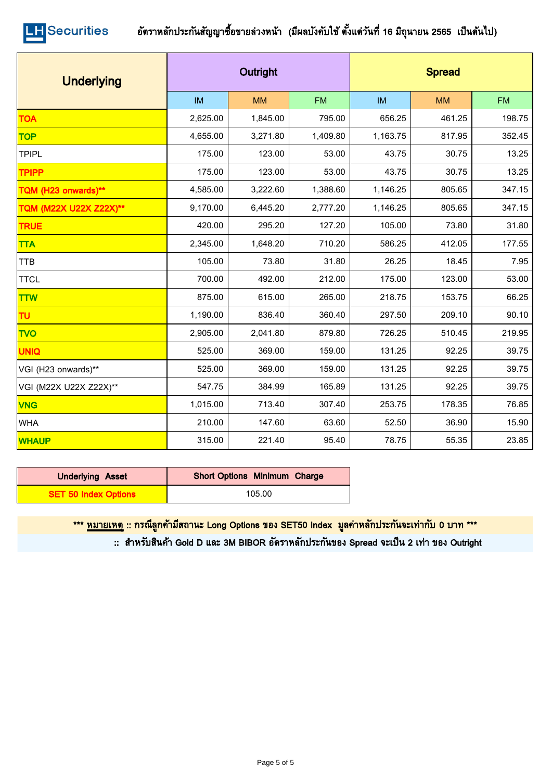

| <b>Underlying</b>      |           | Outright         |           | <b>Spread</b> |           |           |  |
|------------------------|-----------|------------------|-----------|---------------|-----------|-----------|--|
|                        | <b>IM</b> | <b>MM</b>        | <b>FM</b> | <b>IM</b>     | <b>MM</b> | <b>FM</b> |  |
| <b>TOA</b>             | 2,625.00  | 1,845.00         | 795.00    | 656.25        | 461.25    | 198.75    |  |
| <b>TOP</b>             | 4,655.00  | 3,271.80         | 1,409.80  | 1,163.75      | 817.95    | 352.45    |  |
| <b>TPIPL</b>           | 175.00    | 123.00           | 53.00     | 43.75         | 30.75     | 13.25     |  |
| <b>TPIPP</b>           | 175.00    | 123.00           | 53.00     | 43.75         | 30.75     | 13.25     |  |
| TQM (H23 onwards)**    | 4,585.00  | 3,222.60         | 1,388.60  | 1,146.25      | 805.65    | 347.15    |  |
| TQM (M22X U22X Z22X)** | 9,170.00  | 6,445.20         | 2,777.20  | 1,146.25      | 805.65    | 347.15    |  |
| <b>TRUE</b>            | 420.00    | 295.20           | 127.20    | 105.00        | 73.80     | 31.80     |  |
| <b>TTA</b>             | 2,345.00  | 1,648.20         | 710.20    | 586.25        | 412.05    | 177.55    |  |
| <b>TTB</b>             | 105.00    | 73.80            | 31.80     | 26.25         | 18.45     | 7.95      |  |
| <b>TTCL</b>            | 700.00    | 492.00           | 212.00    | 175.00        | 123.00    | 53.00     |  |
| <b>TTW</b>             | 875.00    | 615.00           | 265.00    | 218.75        | 153.75    | 66.25     |  |
| TU                     | 1,190.00  | 836.40           | 360.40    | 297.50        | 209.10    | 90.10     |  |
| <b>TVO</b>             | 2,905.00  | 2,041.80         | 879.80    | 726.25        | 510.45    | 219.95    |  |
| <b>UNIQ</b>            | 525.00    | 369.00           | 159.00    | 131.25        | 92.25     | 39.75     |  |
| VGI (H23 onwards)**    | 525.00    | 369.00           | 159.00    | 131.25        | 92.25     | 39.75     |  |
| VGI (M22X U22X Z22X)** | 547.75    | 384.99<br>165.89 |           | 131.25        | 92.25     | 39.75     |  |
| <b>VNG</b>             | 1,015.00  | 713.40           | 307.40    | 253.75        | 178.35    | 76.85     |  |
| <b>WHA</b>             | 210.00    | 147.60           | 63.60     | 52.50         | 36.90     | 15.90     |  |
| <b>WHAUP</b>           | 315.00    | 221.40           | 95.40     | 78.75         | 55.35     | 23.85     |  |

| <b>Underlying Asset</b>     | <b>Short Options Minimum Charge</b> |
|-----------------------------|-------------------------------------|
| <b>SET 50 Index Options</b> | 105.00                              |

\*\*\* <u>หมายเหตุ</u> :: กรณีลูกค้ามีสถานะ Long Options ของ SET50 Index มูลค่าหลักประกันจะเท่ากับ 0 บาท \*\*\*

 $::$  สำหรับสินค้า Gold D และ 3M BIBOR อัตราหลักประกันของ Spread จะเป็น 2 เท่า ของ Outright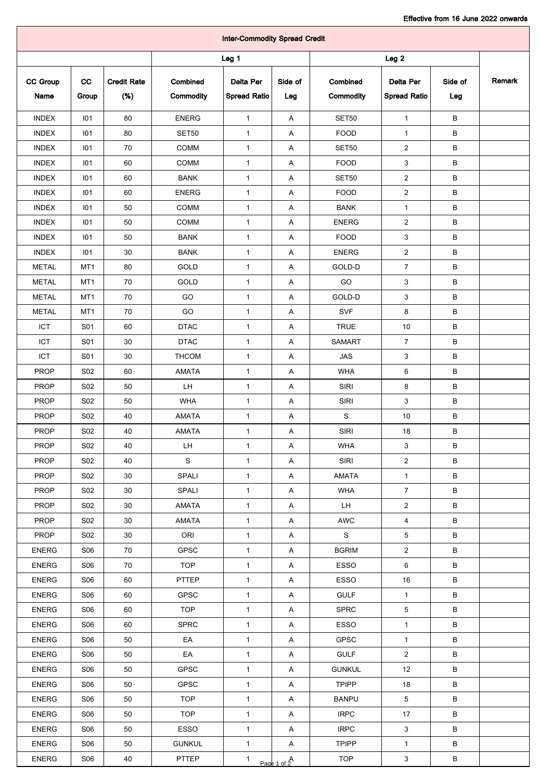| <b>Inter-Commodity Spread Credit</b> |                 |                           |                       |                                         |                           |                       |                                         |                |        |  |
|--------------------------------------|-----------------|---------------------------|-----------------------|-----------------------------------------|---------------------------|-----------------------|-----------------------------------------|----------------|--------|--|
| Leg <sub>1</sub><br>Leg <sub>2</sub> |                 |                           |                       |                                         |                           |                       |                                         |                |        |  |
| <b>CC Group</b><br>Name              | cc<br>Group     | <b>Credit Rate</b><br>(%) | Combined<br>Commodity | <b>Delta Per</b><br><b>Spread Ratio</b> | Side of<br>Leg            | Combined<br>Commodity | <b>Delta Per</b><br><b>Spread Ratio</b> | Side of<br>Leg | Remark |  |
| <b>INDEX</b>                         | 101             | 80                        | <b>ENERG</b>          | $\mathbf{1}$                            | A                         | <b>SET50</b>          | $\mathbf{1}$                            | В              |        |  |
| <b>INDEX</b>                         | 101             | 80                        | SET50                 | $\mathbf{1}$                            | Α                         | <b>FOOD</b>           | 1                                       | в              |        |  |
| <b>INDEX</b>                         | 101             | 70                        | COMM                  | $\mathbf{1}$                            | A                         | <b>SET50</b>          | $\overline{2}$                          | в              |        |  |
| <b>INDEX</b>                         | 101             | 60                        | <b>COMM</b>           | $\mathbf{1}$                            | A                         | <b>FOOD</b>           | 3                                       | В              |        |  |
| <b>INDEX</b>                         | 101             | 60                        | <b>BANK</b>           | 1                                       | Α                         | <b>SET50</b>          | $\overline{a}$                          | в              |        |  |
| <b>INDEX</b>                         | 101             | 60                        | <b>ENERG</b>          | $\mathbf{1}$                            | Α                         | <b>FOOD</b>           | $\overline{a}$                          | в              |        |  |
| <b>INDEX</b>                         | 101             | 50                        | <b>COMM</b>           | 1                                       | Α                         | <b>BANK</b>           | 1                                       | В              |        |  |
| <b>INDEX</b>                         | 101             | 50                        | <b>COMM</b>           | $\mathbf{1}$                            | Α                         | <b>ENERG</b>          | $\overline{2}$                          | в              |        |  |
| <b>INDEX</b>                         | 101             | 50                        | <b>BANK</b>           | $\mathbf{1}$                            | Α                         | <b>FOOD</b>           | 3                                       | В              |        |  |
| <b>INDEX</b>                         | 101             | 30                        | <b>BANK</b>           | $\mathbf{1}$                            | Α                         | <b>ENERG</b>          | $\overline{2}$                          | В              |        |  |
| <b>METAL</b>                         | MT <sub>1</sub> | 80                        | GOLD                  | $\mathbf{1}$                            | Α                         | GOLD-D                | $\overline{7}$                          | в              |        |  |
| <b>METAL</b>                         | MT1             | 70                        | GOLD                  | $\mathbf{1}$                            | Α                         | GO                    | 3                                       | в              |        |  |
| <b>METAL</b>                         | MT1             | 70                        | GO                    | 1                                       | Α                         | GOLD-D                | 3                                       | В              |        |  |
| <b>METAL</b>                         | MT <sub>1</sub> | 70                        | GO                    | 1                                       | Α                         | <b>SVF</b>            | 8                                       | в              |        |  |
| ICT                                  | S01             | 60                        | <b>DTAC</b>           | $\mathbf{1}$                            | Α                         | <b>TRUE</b>           | 10                                      | в              |        |  |
| ICT                                  | S01             | 30                        | <b>DTAC</b>           | $\mathbf{1}$                            | Α                         | <b>SAMART</b>         | $\overline{7}$                          | в              |        |  |
| ICT                                  | S01             | 30                        | <b>THCOM</b>          | $\mathbf{1}$                            | Α                         | <b>JAS</b>            | 3                                       | в              |        |  |
| <b>PROP</b>                          | S <sub>02</sub> | 60                        | <b>AMATA</b>          | $\mathbf{1}$                            | Α                         | <b>WHA</b>            | 6                                       | В              |        |  |
| <b>PROP</b>                          | S <sub>02</sub> | 50                        | LH.                   | $\mathbf{1}$                            | A                         | SIRI                  | 8                                       | в              |        |  |
| <b>PROP</b>                          | S02             | 50                        | <b>WHA</b>            | $\mathbf{1}$                            | Α                         | <b>SIRI</b>           | 3                                       | В              |        |  |
| <b>PROP</b>                          | <b>S02</b>      | 40                        | AMATA                 | $\mathbf{1}$                            | Α                         | ${\mathsf S}$         | 10                                      | В              |        |  |
| <b>PROP</b>                          | S02             | 40                        | <b>AMATA</b>          | 1                                       | Α                         | SIRI                  | 18                                      | В              |        |  |
| PROP                                 | S02             | 40                        | LH                    | $\mathbf{1}$                            | Α                         | WHA                   | 3                                       | в              |        |  |
| <b>PROP</b>                          | <b>S02</b>      | 40                        | ${\mathbf S}$         | $\mathbf{1}$                            | $\boldsymbol{\mathsf{A}}$ | SIRI                  | $\overline{a}$                          | В              |        |  |
| <b>PROP</b>                          | S02             | 30                        | SPALI                 | $\mathbf{1}$                            | A                         | AMATA                 | $\mathbf{1}$                            | В              |        |  |
| <b>PROP</b>                          | S02             | 30                        | SPALI                 | $\mathbf{1}$                            | A                         | <b>WHA</b>            | $\overline{7}$                          | В              |        |  |
| <b>PROP</b>                          | <b>S02</b>      | 30                        | AMATA                 | $\mathbf{1}$                            | A                         | LH.                   | $\overline{a}$                          | В              |        |  |
| <b>PROP</b>                          | <b>S02</b>      | 30                        | AMATA                 | $\mathbf{1}$                            | A                         | AWC                   | $\overline{4}$                          | В              |        |  |
| <b>PROP</b>                          | S02             | 30                        | ORI                   | $\mathbf{1}$                            | A                         | ${\tt S}$             | 5                                       | В              |        |  |
| <b>ENERG</b>                         | <b>S06</b>      | 70                        | <b>GPSC</b>           | $\mathbf{1}$                            | A                         | <b>BGRIM</b>          | $\overline{a}$                          | В              |        |  |
| <b>ENERG</b>                         | <b>S06</b>      | 70                        | <b>TOP</b>            | $\mathbf{1}$                            | A                         | ESSO                  | 6                                       | В              |        |  |
| <b>ENERG</b>                         | S06             | 60                        | PTTEP                 | $\mathbf{1}$                            | A                         | ESSO                  | 16                                      | В              |        |  |
| <b>ENERG</b>                         | S06             | 60                        | <b>GPSC</b>           | $\mathbf{1}$                            | A                         | <b>GULF</b>           | $\mathbf{1}$                            | В              |        |  |
| <b>ENERG</b>                         | <b>S06</b>      | 60                        | <b>TOP</b>            | $\mathbf{1}$                            | A                         | <b>SPRC</b>           | $\,$ 5 $\,$                             | В              |        |  |
| <b>ENERG</b>                         | S06             | 60                        | <b>SPRC</b>           | $\mathbf{1}$                            | A                         | ESSO                  | $\mathbf 1$                             | В              |        |  |
| <b>ENERG</b>                         | S06             | 50                        | EA                    | $\mathbf{1}$                            | A                         | GPSC                  | $\mathbf{1}$                            | В              |        |  |
| <b>ENERG</b>                         | S06             | 50                        | EA                    | $\mathbf{1}$                            | A                         | <b>GULF</b>           | $\overline{2}$                          | В              |        |  |
| <b>ENERG</b>                         | <b>S06</b>      | 50                        | GPSC                  | $\mathbf{1}$                            | A                         | <b>GUNKUL</b>         | 12                                      | В              |        |  |
| <b>ENERG</b>                         | <b>S06</b>      | 50                        | <b>GPSC</b>           | $\mathbf{1}$                            | A                         | <b>TPIPP</b>          | 18                                      | В              |        |  |
| <b>ENERG</b>                         | S06             | 50                        | <b>TOP</b>            | $\mathbf{1}$                            | A                         | <b>BANPU</b>          | 5                                       | В              |        |  |
| <b>ENERG</b>                         | S06             | 50                        | <b>TOP</b>            | $\mathbf{1}$                            | A                         | <b>IRPC</b>           | 17                                      | B              |        |  |
| <b>ENERG</b>                         | <b>S06</b>      | 50                        | ESSO                  | $\mathbf{1}$                            | A                         | <b>IRPC</b>           | 3                                       | В              |        |  |
| <b>ENERG</b>                         | <b>S06</b>      | 50                        | <b>GUNKUL</b>         | $\mathbf{1}$                            | A                         | <b>TPIPP</b>          | $\mathbf{1}$                            | В              |        |  |
| <b>ENERG</b>                         | S06             | 40                        | <b>PTTEP</b>          | $\mathbf{1}$                            | Page 1 of $A$             | <b>TOP</b>            | $\mathbf{3}$                            | В              |        |  |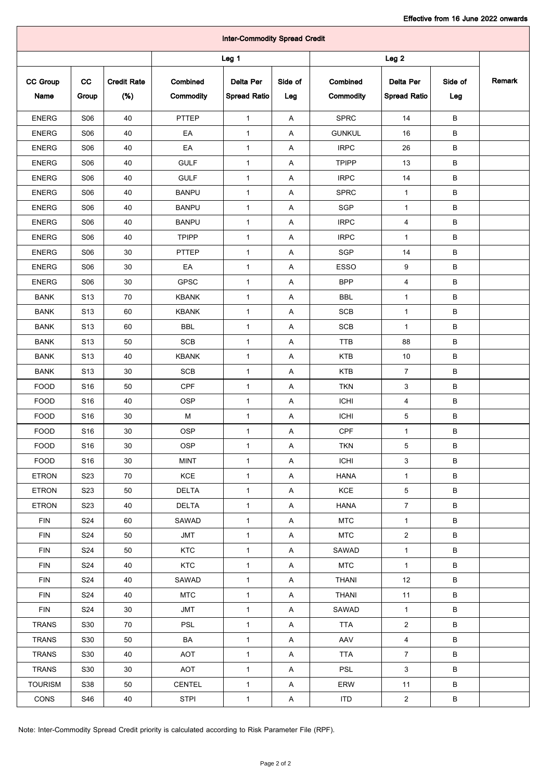| <b>Inter-Commodity Spread Credit</b> |                  |                    |               |                     |         |               |                     |         |        |  |
|--------------------------------------|------------------|--------------------|---------------|---------------------|---------|---------------|---------------------|---------|--------|--|
|                                      | Leg <sub>1</sub> |                    |               |                     |         |               |                     |         |        |  |
| <b>CC Group</b>                      | cc               | <b>Credit Rate</b> | Combined      | Delta Per           | Side of | Combined      | Delta Per           | Side of | Remark |  |
| Name                                 | Group            | (%)                | Commodity     | <b>Spread Ratio</b> | Leg     | Commodity     | <b>Spread Ratio</b> | Leg     |        |  |
| <b>ENERG</b>                         | <b>S06</b>       | 40                 | PTTEP         | $\mathbf{1}$        | A       | <b>SPRC</b>   | 14                  | B       |        |  |
| <b>ENERG</b>                         | <b>S06</b>       | 40                 | EA            | $\mathbf{1}$        | Α       | <b>GUNKUL</b> | 16                  | В       |        |  |
| <b>ENERG</b>                         | <b>S06</b>       | 40                 | EA            | $\mathbf{1}$        | Α       | <b>IRPC</b>   | 26                  | в       |        |  |
| <b>ENERG</b>                         | <b>S06</b>       | 40                 | <b>GULF</b>   | $\mathbf{1}$        | Α       | <b>TPIPP</b>  | 13                  | в       |        |  |
| <b>ENERG</b>                         | <b>S06</b>       | 40                 | <b>GULF</b>   | $\mathbf{1}$        | A       | <b>IRPC</b>   | 14                  | в       |        |  |
| <b>ENERG</b>                         | <b>S06</b>       | 40                 | <b>BANPU</b>  | $\mathbf{1}$        | Α       | <b>SPRC</b>   | $\mathbf{1}$        | в       |        |  |
| <b>ENERG</b>                         | <b>S06</b>       | 40                 | <b>BANPU</b>  | $\mathbf{1}$        | Α       | SGP           | $\mathbf{1}$        | в       |        |  |
| <b>ENERG</b>                         | S06              | 40                 | <b>BANPU</b>  | $\mathbf{1}$        | A       | <b>IRPC</b>   | 4                   | в       |        |  |
| <b>ENERG</b>                         | <b>S06</b>       | 40                 | <b>TPIPP</b>  | $\mathbf{1}$        | A       | <b>IRPC</b>   | $\mathbf{1}$        | в       |        |  |
| <b>ENERG</b>                         | <b>S06</b>       | 30                 | PTTEP         | $\mathbf{1}$        | Α       | SGP           | 14                  | В       |        |  |
| <b>ENERG</b>                         | S06              | 30                 | EA            | 1                   | A       | <b>ESSO</b>   | 9                   | в       |        |  |
| <b>ENERG</b>                         | <b>S06</b>       | 30                 | <b>GPSC</b>   | $\mathbf{1}$        | Α       | <b>BPP</b>    | $\overline{4}$      | в       |        |  |
| <b>BANK</b>                          | S <sub>13</sub>  | 70                 | <b>KBANK</b>  | $\mathbf{1}$        | Α       | <b>BBL</b>    | $\mathbf{1}$        | В       |        |  |
| <b>BANK</b>                          | S <sub>13</sub>  | 60                 | <b>KBANK</b>  | $\mathbf{1}$        | A       | <b>SCB</b>    | 1                   | в       |        |  |
| <b>BANK</b>                          | S <sub>13</sub>  | 60                 | <b>BBL</b>    | $\mathbf{1}$        | A       | <b>SCB</b>    | $\mathbf{1}$        | в       |        |  |
| <b>BANK</b>                          | S <sub>13</sub>  | 50                 | <b>SCB</b>    | $\mathbf{1}$        | Α       | <b>TTB</b>    | 88                  | в       |        |  |
| <b>BANK</b>                          | S <sub>13</sub>  | 40                 | <b>KBANK</b>  | $\mathbf{1}$        | Α       | <b>KTB</b>    | 10                  | в       |        |  |
| <b>BANK</b>                          | S <sub>13</sub>  | 30                 | SCB           | $\mathbf{1}$        | A       | <b>KTB</b>    | $\overline{7}$      | в       |        |  |
| <b>FOOD</b>                          | S <sub>16</sub>  | 50                 | <b>CPF</b>    | $\mathbf{1}$        | Α       | <b>TKN</b>    | 3                   | B       |        |  |
| <b>FOOD</b>                          | S <sub>16</sub>  | 40                 | <b>OSP</b>    | $\mathbf{1}$        | Α       | <b>ICHI</b>   | 4                   | в       |        |  |
| <b>FOOD</b>                          | S <sub>16</sub>  | 30                 | м             | $\mathbf{1}$        | A       | <b>ICHI</b>   | 5                   | в       |        |  |
| <b>FOOD</b>                          | S16              | 30                 | <b>OSP</b>    | $\mathbf{1}$        | Α       | CPF           | $\mathbf{1}$        | В       |        |  |
| FOOD                                 | S16              | 30                 | OSP           | $\mathbf{1}$        | A       | <b>TKN</b>    | 5                   | В       |        |  |
| FOOD                                 | S <sub>16</sub>  | 30                 | <b>MINT</b>   | $\mathbf{1}$        | A       | ICHI          | $\mathbf{3}$        | В       |        |  |
| <b>ETRON</b>                         | S23              | 70                 | KCE           | $\mathbf{1}$        | A       | <b>HANA</b>   | $\mathbf{1}$        | В       |        |  |
| <b>ETRON</b>                         | S <sub>23</sub>  | 50                 | <b>DELTA</b>  | $\mathbf{1}$        | A       | KCE           | $\overline{5}$      | В       |        |  |
| <b>ETRON</b>                         | S23              | 40                 | <b>DELTA</b>  | $\mathbf{1}$        | A       | <b>HANA</b>   | $\overline{7}$      | В       |        |  |
| <b>FIN</b>                           | S24              | 60                 | SAWAD         | $\mathbf{1}$        | A       | <b>MTC</b>    | $\mathbf{1}$        | В       |        |  |
| <b>FIN</b>                           | S <sub>24</sub>  | 50                 | JMT           | $\mathbf{1}$        | A       | <b>MTC</b>    | $\overline{2}$      | В       |        |  |
| <b>FIN</b>                           | S24              | 50                 | <b>KTC</b>    | $\mathbf{1}$        | A       | SAWAD         | $\mathbf{1}$        | В       |        |  |
| <b>FIN</b>                           | <b>S24</b>       | 40                 | <b>KTC</b>    | $\mathbf{1}$        | A       | <b>MTC</b>    | $\mathbf{1}$        | B       |        |  |
| <b>FIN</b>                           | S24              | 40                 | SAWAD         | $\mathbf{1}$        | A       | <b>THANI</b>  | 12                  | В       |        |  |
| <b>FIN</b>                           | S24              | 40                 | <b>MTC</b>    | $\mathbf{1}$        | A       | <b>THANI</b>  | 11                  | B       |        |  |
| <b>FIN</b>                           | S24              | 30                 | JMT           | $\mathbf{1}$        | A       | SAWAD         | $\mathbf{1}$        | В       |        |  |
| <b>TRANS</b>                         | S30              | 70                 | <b>PSL</b>    | $\mathbf{1}$        | A       | <b>TTA</b>    | $\overline{2}$      | В       |        |  |
| <b>TRANS</b>                         | S30              | 50                 | BA            | $\mathbf{1}$        | A       | AAV           | $\overline{4}$      | B       |        |  |
| <b>TRANS</b>                         | S30              | 40                 | AOT           | $\mathbf{1}$        | A       | <b>TTA</b>    | $\overline{7}$      | В       |        |  |
| <b>TRANS</b>                         | S30              | 30                 | AOT           | $\mathbf{1}$        | A       | PSL           | $\mathbf{3}$        | В       |        |  |
| <b>TOURISM</b>                       | S38              | 50                 | <b>CENTEL</b> | $\mathbf{1}$        | A       | ERW           | 11                  | В       |        |  |
| CONS                                 | S46              | 40                 | STPI          | $\mathbf{1}$        | A       | ITD           | $\overline{a}$      | В       |        |  |

Note: Inter-Commodity Spread Credit priority is calculated according to Risk Parameter File (RPF).